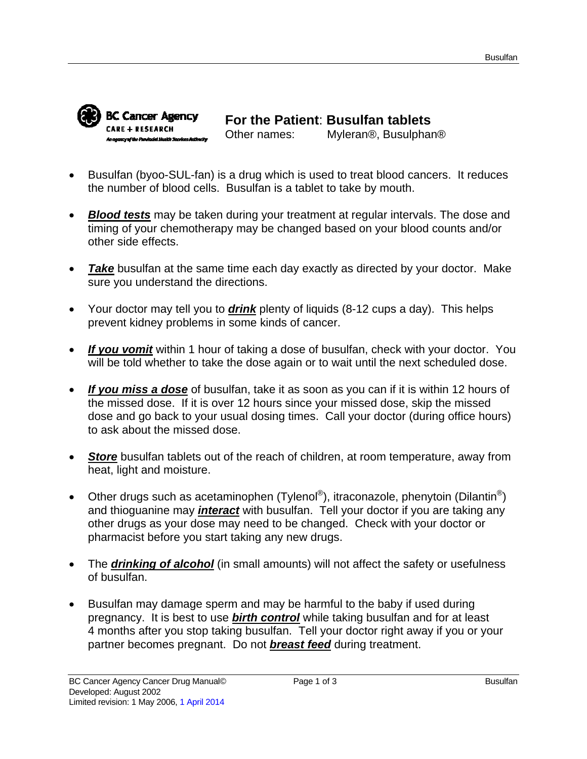

**For the Patient**: **Busulfan tablets** Other names: Myleran®, Busulphan®

- Busulfan (byoo-SUL-fan) is a drug which is used to treat blood cancers. It reduces the number of blood cells. Busulfan is a tablet to take by mouth.
- *Blood tests* may be taken during your treatment at regular intervals. The dose and timing of your chemotherapy may be changed based on your blood counts and/or other side effects.
- **Take** busulfan at the same time each day exactly as directed by your doctor. Make sure you understand the directions.
- Your doctor may tell you to *drink* plenty of liquids (8-12 cups a day). This helps prevent kidney problems in some kinds of cancer.
- *If you vomit* within 1 hour of taking a dose of busulfan, check with your doctor. You will be told whether to take the dose again or to wait until the next scheduled dose.
- *If you miss a dose* of busulfan, take it as soon as you can if it is within 12 hours of the missed dose. If it is over 12 hours since your missed dose, skip the missed dose and go back to your usual dosing times. Call your doctor (during office hours) to ask about the missed dose.
- *Store* busulfan tablets out of the reach of children, at room temperature, away from heat, light and moisture.
- Other drugs such as acetaminophen (Tylenol®), itraconazole, phenytoin (Dilantin®) and thioguanine may *interact* with busulfan. Tell your doctor if you are taking any other drugs as your dose may need to be changed. Check with your doctor or pharmacist before you start taking any new drugs.
- The *drinking of alcohol* (in small amounts) will not affect the safety or usefulness of busulfan.
- Busulfan may damage sperm and may be harmful to the baby if used during pregnancy. It is best to use *birth control* while taking busulfan and for at least 4 months after you stop taking busulfan. Tell your doctor right away if you or your partner becomes pregnant. Do not *breast feed* during treatment.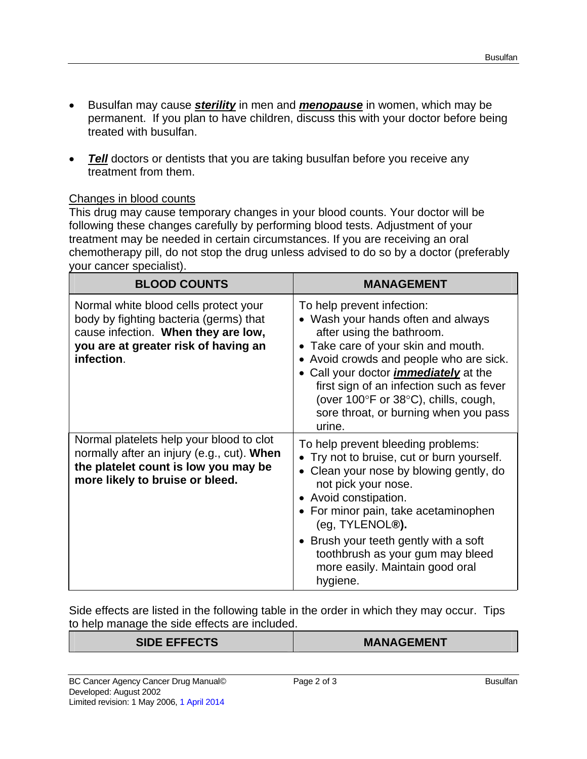- Busulfan may cause *sterility* in men and *menopause* in women, which may be permanent. If you plan to have children, discuss this with your doctor before being treated with busulfan.
- *Tell* doctors or dentists that you are taking busulfan before you receive any treatment from them.

# Changes in blood counts

This drug may cause temporary changes in your blood counts. Your doctor will be following these changes carefully by performing blood tests. Adjustment of your treatment may be needed in certain circumstances. If you are receiving an oral chemotherapy pill, do not stop the drug unless advised to do so by a doctor (preferably your cancer specialist).

| <b>BLOOD COUNTS</b>                                                                                                                                                          | <b>MANAGEMENT</b>                                                                                                                                                                                                                                                                                                                                                      |
|------------------------------------------------------------------------------------------------------------------------------------------------------------------------------|------------------------------------------------------------------------------------------------------------------------------------------------------------------------------------------------------------------------------------------------------------------------------------------------------------------------------------------------------------------------|
| Normal white blood cells protect your<br>body by fighting bacteria (germs) that<br>cause infection. When they are low,<br>you are at greater risk of having an<br>infection. | To help prevent infection:<br>• Wash your hands often and always<br>after using the bathroom.<br>• Take care of your skin and mouth.<br>• Avoid crowds and people who are sick.<br>• Call your doctor <i>immediately</i> at the<br>first sign of an infection such as fever<br>(over 100°F or 38°C), chills, cough,<br>sore throat, or burning when you pass<br>urine. |
| Normal platelets help your blood to clot<br>normally after an injury (e.g., cut). When<br>the platelet count is low you may be<br>more likely to bruise or bleed.            | To help prevent bleeding problems:<br>• Try not to bruise, cut or burn yourself.<br>Clean your nose by blowing gently, do<br>not pick your nose.<br>• Avoid constipation.<br>• For minor pain, take acetaminophen<br>(eg, TYLENOL®).<br>• Brush your teeth gently with a soft<br>toothbrush as your gum may bleed<br>more easily. Maintain good oral<br>hygiene.       |

Side effects are listed in the following table in the order in which they may occur. Tips to help manage the side effects are included.

#### **SIDE EFFECTS MANAGEMENT**